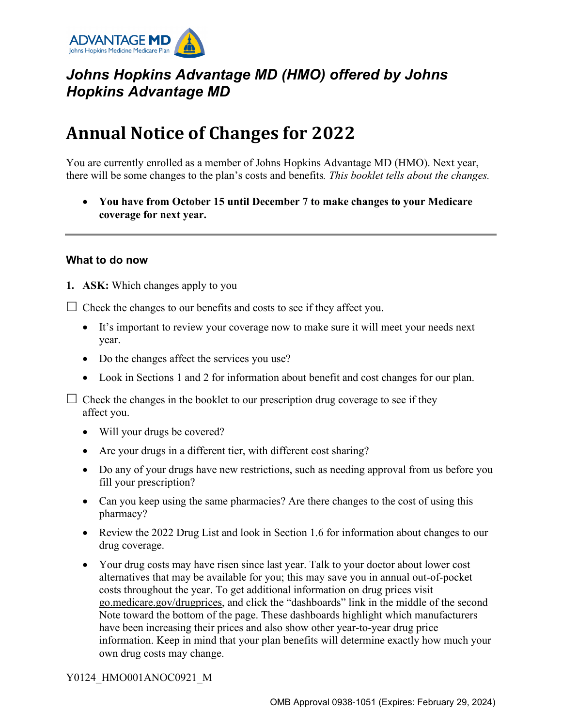

## *Johns Hopkins Advantage MD (HMO) offered by Johns Hopkins Advantage MD*

# **Annual Notice of Changes for 2022**

You are currently enrolled as a member of Johns Hopkins Advantage MD (HMO). Next year, there will be some changes to the plan's costs and benefits*. This booklet tells about the changes.* 

• **You have from October 15 until December 7 to make changes to your Medicare coverage for next year.**

#### **What to do now**

**1. ASK:** Which changes apply to you

 $\Box$  Check the changes to our benefits and costs to see if they affect you.

- It's important to review your coverage now to make sure it will meet your needs next year.
- Do the changes affect the services you use?
- Look in Sections 1 and 2 for information about benefit and cost changes for our plan.

 $\Box$  Check the changes in the booklet to our prescription drug coverage to see if they affect you.

- Will your drugs be covered?
- Are your drugs in a different tier, with different cost sharing?
- Do any of your drugs have new restrictions, such as needing approval from us before you fill your prescription?
- Can you keep using the same pharmacies? Are there changes to the cost of using this pharmacy?
- Review the 2022 Drug List and look in Section 1.6 for information about changes to our drug coverage.
- Your drug costs may have risen since last year. Talk to your doctor about lower cost alternatives that may be available for you; this may save you in annual out-of-pocket costs throughout the year. To get additional information on drug prices visit [go.medicare.gov/drugprices,](https://go.medicare.gov/drugprices) and click the "dashboards" link in the middle of the second Note toward the bottom of the page. These dashboards highlight which manufacturers have been increasing their prices and also show other year-to-year drug price information. Keep in mind that your plan benefits will determine exactly how much your own drug costs may change.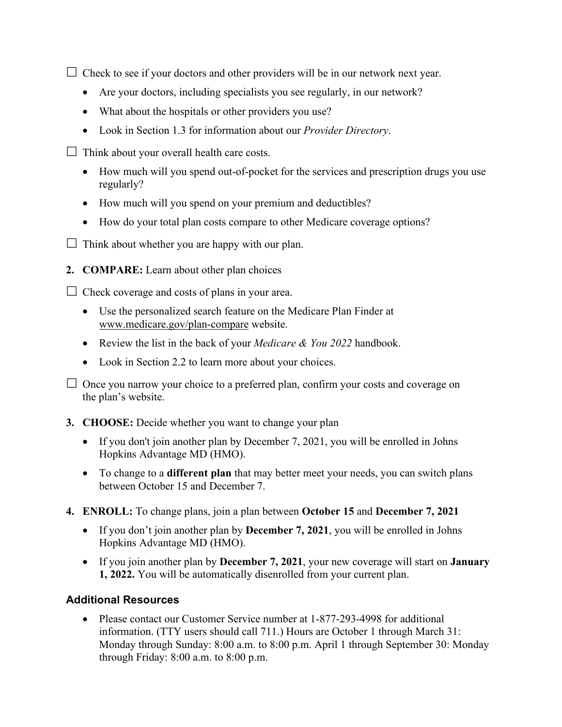$\Box$  Check to see if your doctors and other providers will be in our network next year.

- Are your doctors, including specialists you see regularly, in our network?
- What about the hospitals or other providers you use?
- Look in Section 1.3 for information about our *Provider Directory*.
- $\Box$  Think about your overall health care costs.
	- How much will you spend out-of-pocket for the services and prescription drugs you use regularly?
	- How much will you spend on your premium and deductibles?
	- How do your total plan costs compare to other Medicare coverage options?
- $\Box$  Think about whether you are happy with our plan.
- **2. COMPARE:** Learn about other plan choices

 $\Box$  Check coverage and costs of plans in your area.

- Use the personalized search feature on the Medicare Plan Finder at [www.medicare.gov/plan-compare](http://www.medicare.gov/plan-compare) website.
- Review the list in the back of your *Medicare & You 2022* handbook.
- Look in Section 2.2 to learn more about your choices.

 $\Box$  Once you narrow your choice to a preferred plan, confirm your costs and coverage on the plan's website.

- **3. CHOOSE:** Decide whether you want to change your plan
	- If you don't join another plan by December 7, 2021, you will be enrolled in Johns Hopkins Advantage MD (HMO).
	- To change to a **different plan** that may better meet your needs, you can switch plans between October 15 and December 7.
- **4. ENROLL:** To change plans, join a plan between **October 15** and **December 7, 2021**
	- If you don't join another plan by **December 7, 2021**, you will be enrolled in Johns Hopkins Advantage MD (HMO).
	- If you join another plan by **December 7, 2021**, your new coverage will start on **January 1, 2022.** You will be automatically disenrolled from your current plan.

### **Additional Resources**

• Please contact our Customer Service number at 1-877-293-4998 for additional information. (TTY users should call 711.) Hours are October 1 through March 31: Monday through Sunday: 8:00 a.m. to 8:00 p.m. April 1 through September 30: Monday through Friday: 8:00 a.m. to 8:00 p.m.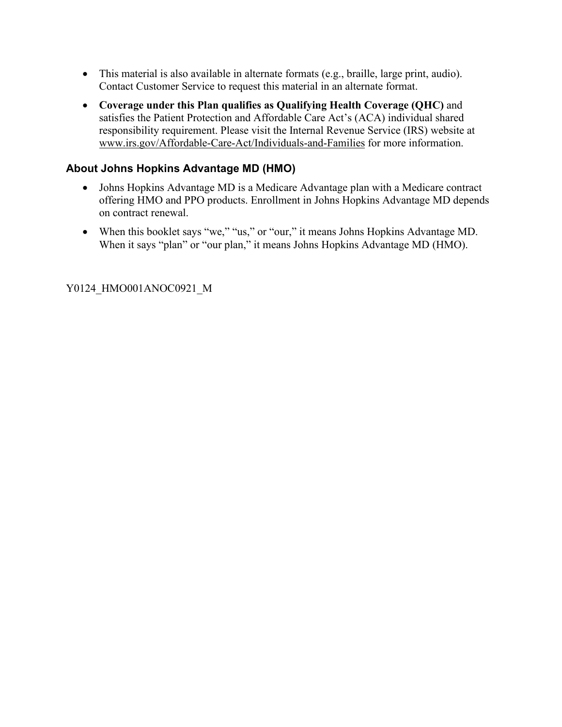- This material is also available in alternate formats (e.g., braille, large print, audio). Contact Customer Service to request this material in an alternate format.
- **Coverage under this Plan qualifies as Qualifying Health Coverage (QHC)** and satisfies the Patient Protection and Affordable Care Act's (ACA) individual shared responsibility requirement. Please visit the Internal Revenue Service (IRS) website at [www.irs.gov/Affordable-Care-Act/Individuals-and-Families](http://www.irs.gov/Affordable-Care-Act/Individuals-and-Families) for more information.

### **About Johns Hopkins Advantage MD (HMO)**

- Johns Hopkins Advantage MD is a Medicare Advantage plan with a Medicare contract offering HMO and PPO products. Enrollment in Johns Hopkins Advantage MD depends on contract renewal.
- When this booklet says "we," "us," or "our," it means Johns Hopkins Advantage MD. When it says "plan" or "our plan," it means Johns Hopkins Advantage MD (HMO).

Y0124\_HMO001ANOC0921\_M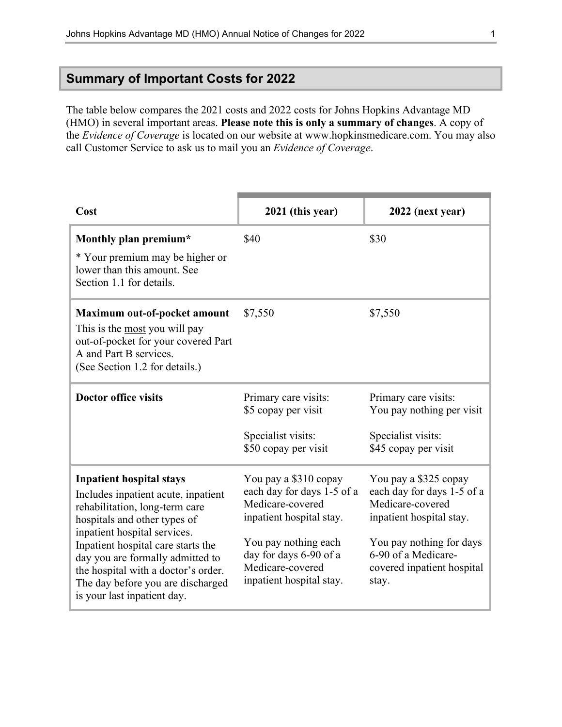### **Summary of Important Costs for 2022**

The table below compares the 2021 costs and 2022 costs for Johns Hopkins Advantage MD (HMO) in several important areas. **Please note this is only a summary of changes**. A copy of the *Evidence of Coverage* is located on our website at [www.hopkinsmedicare.com](http://www.hopkinsmedicare.com). You may also call Customer Service to ask us to mail you an *Evidence of Coverage*.

| Cost                                                                                                                                                                                                                                                                                                                                                          | 2021 (this year)                                                                                                                                                                                      | 2022 (next year)                                                                                                                                                                              |
|---------------------------------------------------------------------------------------------------------------------------------------------------------------------------------------------------------------------------------------------------------------------------------------------------------------------------------------------------------------|-------------------------------------------------------------------------------------------------------------------------------------------------------------------------------------------------------|-----------------------------------------------------------------------------------------------------------------------------------------------------------------------------------------------|
| Monthly plan premium*<br>* Your premium may be higher or<br>lower than this amount. See<br>Section 1.1 for details.                                                                                                                                                                                                                                           | \$40                                                                                                                                                                                                  | \$30                                                                                                                                                                                          |
| Maximum out-of-pocket amount<br>This is the most you will pay<br>out-of-pocket for your covered Part<br>A and Part B services.<br>(See Section 1.2 for details.)                                                                                                                                                                                              | \$7,550                                                                                                                                                                                               | \$7,550                                                                                                                                                                                       |
| <b>Doctor office visits</b>                                                                                                                                                                                                                                                                                                                                   | Primary care visits:<br>\$5 copay per visit<br>Specialist visits:<br>\$50 copay per visit                                                                                                             | Primary care visits:<br>You pay nothing per visit<br>Specialist visits:<br>\$45 copay per visit                                                                                               |
| <b>Inpatient hospital stays</b><br>Includes inpatient acute, inpatient<br>rehabilitation, long-term care<br>hospitals and other types of<br>inpatient hospital services.<br>Inpatient hospital care starts the<br>day you are formally admitted to<br>the hospital with a doctor's order.<br>The day before you are discharged<br>is your last inpatient day. | You pay a \$310 copay<br>each day for days 1-5 of a<br>Medicare-covered<br>inpatient hospital stay.<br>You pay nothing each<br>day for days 6-90 of a<br>Medicare-covered<br>inpatient hospital stay. | You pay a \$325 copay<br>each day for days 1-5 of a<br>Medicare-covered<br>inpatient hospital stay.<br>You pay nothing for days<br>6-90 of a Medicare-<br>covered inpatient hospital<br>stay. |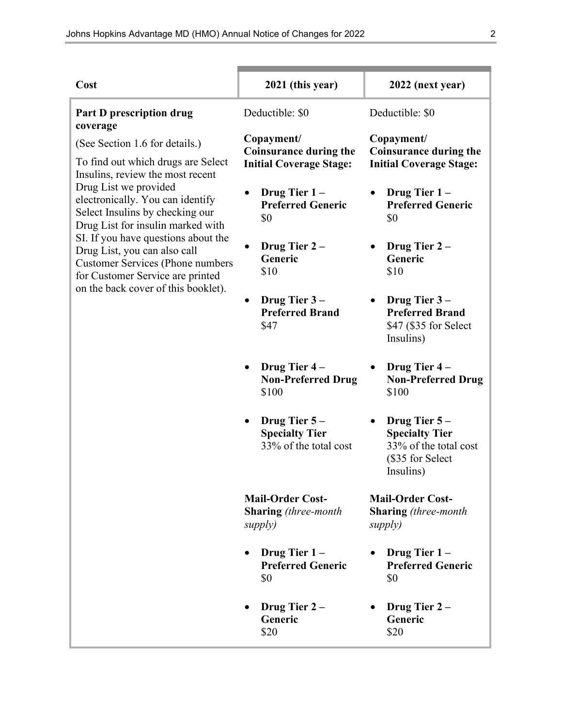| Cost                                                                                                                                               | 2021 (this year)                                                              | 2022 (next year)                                                                                  |
|----------------------------------------------------------------------------------------------------------------------------------------------------|-------------------------------------------------------------------------------|---------------------------------------------------------------------------------------------------|
| <b>Part D prescription drug</b><br>coverage                                                                                                        | Deductible: \$0                                                               | Deductible: \$0                                                                                   |
| (See Section 1.6 for details.)<br>To find out which drugs are Select<br>Insulins, review the most recent                                           | Copayment/<br><b>Coinsurance during the</b><br><b>Initial Coverage Stage:</b> | Copayment/<br><b>Coinsurance during the</b><br><b>Initial Coverage Stage:</b>                     |
| Drug List we provided<br>electronically. You can identify<br>Select Insulins by checking our<br>Drug List for insulin marked with                  | Drug Tier $1 -$<br><b>Preferred Generic</b><br>\$0                            | Drug Tier 1-<br><b>Preferred Generic</b><br>\$0                                                   |
| SI. If you have questions about the<br>Drug List, you can also call<br><b>Customer Services (Phone numbers</b><br>for Customer Service are printed | Drug Tier $2 -$<br>Generic<br>\$10                                            | Drug Tier 2-<br>Generic<br>\$10                                                                   |
| on the back cover of this booklet).                                                                                                                | Drug Tier 3-<br><b>Preferred Brand</b><br>\$47                                | Drug Tier 3-<br><b>Preferred Brand</b><br>\$47 (\$35 for Select<br>Insulins)                      |
|                                                                                                                                                    | Drug Tier 4-<br><b>Non-Preferred Drug</b><br>\$100                            | Drug Tier 4-<br><b>Non-Preferred Drug</b><br>\$100                                                |
|                                                                                                                                                    | Drug Tier 5-<br><b>Specialty Tier</b><br>33% of the total cost                | Drug Tier $5-$<br><b>Specialty Tier</b><br>33% of the total cost<br>(\$35 for Select<br>Insulins) |
|                                                                                                                                                    | <b>Mail-Order Cost-</b><br><b>Sharing</b> (three-month<br>supply)             | <b>Mail-Order Cost-</b><br><b>Sharing</b> (three-month<br>supply)                                 |
|                                                                                                                                                    | Drug Tier $1 -$<br><b>Preferred Generic</b><br>\$0                            | Drug Tier $1 -$<br><b>Preferred Generic</b><br>\$0                                                |
|                                                                                                                                                    | Drug Tier $2-$<br>Generic<br>\$20                                             | Drug Tier $2-$<br>Generic<br>\$20                                                                 |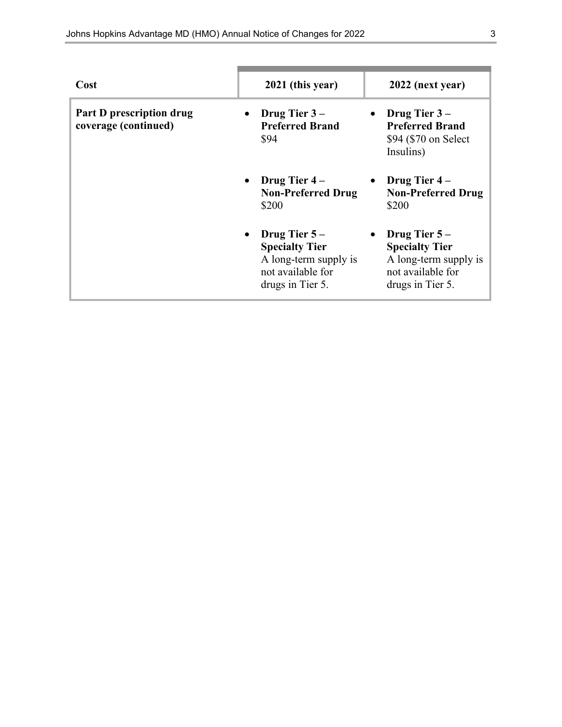| Cost                                                    | 2021 (this year)                                                                                            | 2022 (next year)                                                                                          |
|---------------------------------------------------------|-------------------------------------------------------------------------------------------------------------|-----------------------------------------------------------------------------------------------------------|
| <b>Part D prescription drug</b><br>coverage (continued) | Drug Tier $3-$<br><b>Preferred Brand</b><br>\$94                                                            | Drug Tier 3-<br>$\bullet$<br><b>Preferred Brand</b><br>\$94 (\$70 on Select<br>Insulins)                  |
|                                                         | • Drug Tier $4-$<br><b>Non-Preferred Drug</b><br>\$200                                                      | <b>Drug Tier 4 –</b><br>$\bullet$<br><b>Non-Preferred Drug</b><br>\$200                                   |
|                                                         | • Drug Tier $5-$<br><b>Specialty Tier</b><br>A long-term supply is<br>not available for<br>drugs in Tier 5. | Drug Tier $5-$<br><b>Specialty Tier</b><br>A long-term supply is<br>not available for<br>drugs in Tier 5. |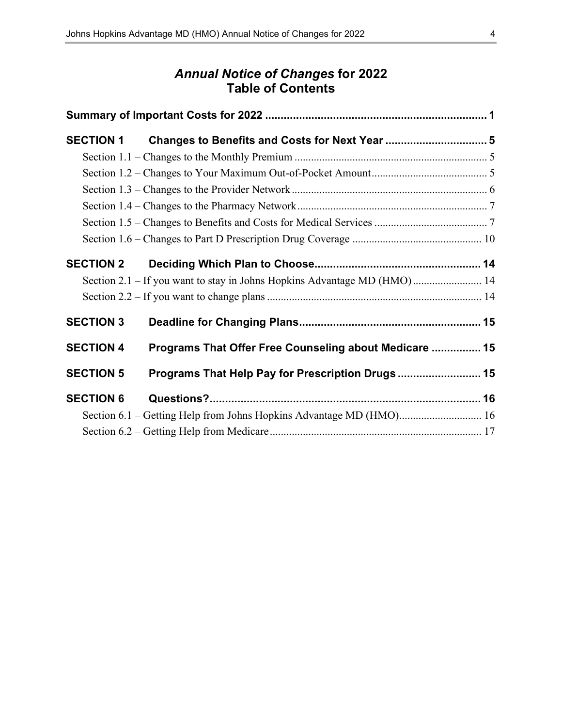### *Annual Notice of Changes* **for 2022 Table of Contents**

| <b>SECTION 1</b> |                                                                          |  |
|------------------|--------------------------------------------------------------------------|--|
|                  |                                                                          |  |
|                  |                                                                          |  |
|                  |                                                                          |  |
|                  |                                                                          |  |
|                  |                                                                          |  |
|                  |                                                                          |  |
| <b>SECTION 2</b> |                                                                          |  |
|                  | Section 2.1 - If you want to stay in Johns Hopkins Advantage MD (HMO) 14 |  |
|                  |                                                                          |  |
| <b>SECTION 3</b> |                                                                          |  |
| <b>SECTION 4</b> | Programs That Offer Free Counseling about Medicare  15                   |  |
| <b>SECTION 5</b> | Programs That Help Pay for Prescription Drugs  15                        |  |
| <b>SECTION 6</b> |                                                                          |  |
|                  |                                                                          |  |
|                  |                                                                          |  |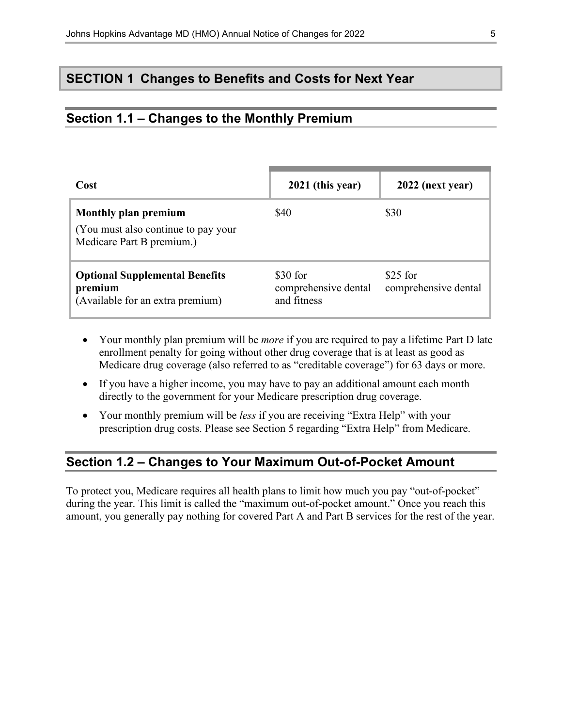### **SECTION 1 Changes to Benefits and Costs for Next Year**

#### **Section 1.1 – Changes to the Monthly Premium**

| Cost                                                                                     | 2021 (this year)                                | 2022 (next year)                  |
|------------------------------------------------------------------------------------------|-------------------------------------------------|-----------------------------------|
| Monthly plan premium<br>(You must also continue to pay your<br>Medicare Part B premium.) | \$40                                            | \$30                              |
| <b>Optional Supplemental Benefits</b><br>premium<br>(Available for an extra premium)     | \$30 for<br>comprehensive dental<br>and fitness | $$25$ for<br>comprehensive dental |

- Your monthly plan premium will be *more* if you are required to pay a lifetime Part D late enrollment penalty for going without other drug coverage that is at least as good as Medicare drug coverage (also referred to as "creditable coverage") for 63 days or more.
- If you have a higher income, you may have to pay an additional amount each month directly to the government for your Medicare prescription drug coverage.
- Your monthly premium will be *less* if you are receiving "Extra Help" with your prescription drug costs. Please see Section 5 regarding "Extra Help" from Medicare.

### **Section 1.2 – Changes to Your Maximum Out-of-Pocket Amount**

To protect you, Medicare requires all health plans to limit how much you pay "out-of-pocket" during the year. This limit is called the "maximum out-of-pocket amount." Once you reach this amount, you generally pay nothing for covered Part A and Part B services for the rest of the year.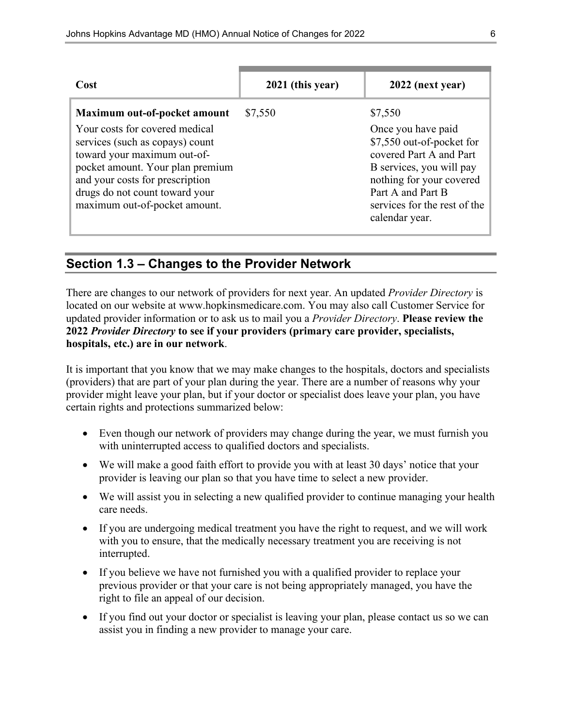| Cost                                                                                                                                                                                                                                                                       | 2021 (this year) | 2022 (next year)                                                                                                                                                                                                     |
|----------------------------------------------------------------------------------------------------------------------------------------------------------------------------------------------------------------------------------------------------------------------------|------------------|----------------------------------------------------------------------------------------------------------------------------------------------------------------------------------------------------------------------|
| Maximum out-of-pocket amount<br>Your costs for covered medical<br>services (such as copays) count<br>toward your maximum out-of-<br>pocket amount. Your plan premium<br>and your costs for prescription<br>drugs do not count toward your<br>maximum out-of-pocket amount. | \$7,550          | \$7,550<br>Once you have paid<br>\$7,550 out-of-pocket for<br>covered Part A and Part<br>B services, you will pay<br>nothing for your covered<br>Part A and Part B<br>services for the rest of the<br>calendar year. |

### **Section 1.3 – Changes to the Provider Network**

There are changes to our network of providers for next year. An updated *Provider Directory* is located on our website at [www.hopkinsmedicare.com.](http://www.hopkinsmedicare.com) You may also call Customer Service for updated provider information or to ask us to mail you a *Provider Directory*. **Please review the 2022** *Provider Directory* **to see if your providers (primary care provider, specialists, hospitals, etc.) are in our network**.

It is important that you know that we may make changes to the hospitals, doctors and specialists (providers) that are part of your plan during the year. There are a number of reasons why your provider might leave your plan, but if your doctor or specialist does leave your plan, you have certain rights and protections summarized below:

- Even though our network of providers may change during the year, we must furnish you with uninterrupted access to qualified doctors and specialists.
- We will make a good faith effort to provide you with at least 30 days' notice that your provider is leaving our plan so that you have time to select a new provider.
- We will assist you in selecting a new qualified provider to continue managing your health care needs.
- If you are undergoing medical treatment you have the right to request, and we will work with you to ensure, that the medically necessary treatment you are receiving is not interrupted.
- If you believe we have not furnished you with a qualified provider to replace your previous provider or that your care is not being appropriately managed, you have the right to file an appeal of our decision.
- If you find out your doctor or specialist is leaving your plan, please contact us so we can assist you in finding a new provider to manage your care.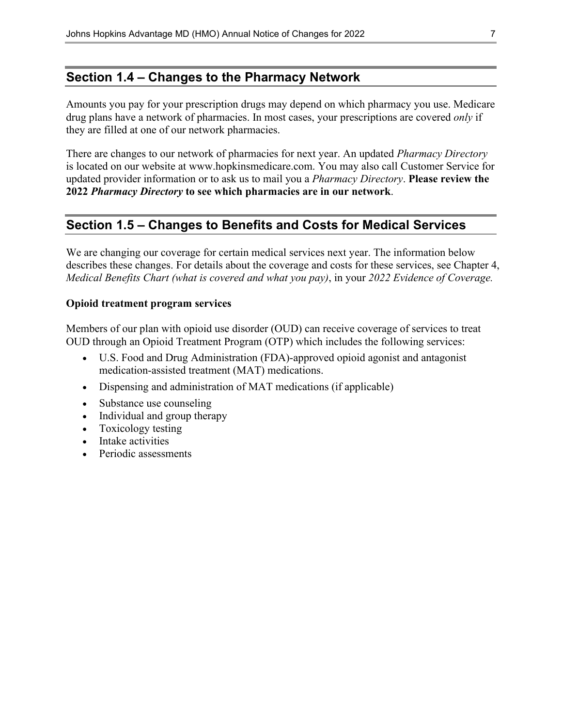### **Section 1.4 – Changes to the Pharmacy Network**

Amounts you pay for your prescription drugs may depend on which pharmacy you use. Medicare drug plans have a network of pharmacies. In most cases, your prescriptions are covered *only* if they are filled at one of our network pharmacies.

There are changes to our network of pharmacies for next year. An updated *Pharmacy Directory* is located on our website at [www.hopkinsmedicare.com.](http://www.hopkinsmedicare.com) You may also call Customer Service for updated provider information or to ask us to mail you a *Pharmacy Directory*. **Please review the 2022** *Pharmacy Directory* **to see which pharmacies are in our network**.

### **Section 1.5 – Changes to Benefits and Costs for Medical Services**

We are changing our coverage for certain medical services next year. The information below describes these changes. For details about the coverage and costs for these services, see Chapter 4, *Medical Benefits Chart (what is covered and what you pay)*, in your *2022 Evidence of Coverage.*

#### **Opioid treatment program services**

Members of our plan with opioid use disorder (OUD) can receive coverage of services to treat OUD through an Opioid Treatment Program (OTP) which includes the following services:

- U.S. Food and Drug Administration (FDA)-approved opioid agonist and antagonist medication-assisted treatment (MAT) medications.
- Dispensing and administration of MAT medications (if applicable)
- Substance use counseling
- Individual and group therapy
- Toxicology testing
- Intake activities
- Periodic assessments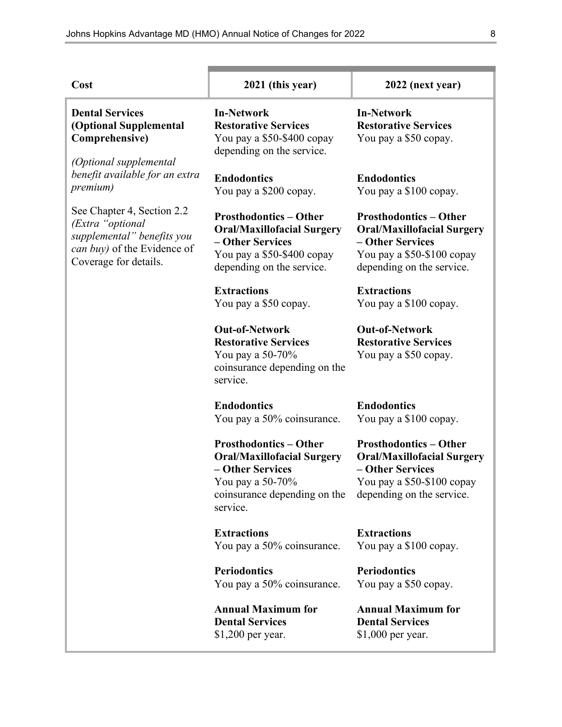| Cost                                                                                                                                 | 2021 (this year)                                                                                                                                       | 2022 (next year)                                                                                                                                  |
|--------------------------------------------------------------------------------------------------------------------------------------|--------------------------------------------------------------------------------------------------------------------------------------------------------|---------------------------------------------------------------------------------------------------------------------------------------------------|
| <b>Dental Services</b><br>(Optional Supplemental<br>Comprehensive)<br>(Optional supplemental                                         | <b>In-Network</b><br><b>Restorative Services</b><br>You pay a \$50-\$400 copay<br>depending on the service.                                            | <b>In-Network</b><br><b>Restorative Services</b><br>You pay a \$50 copay.                                                                         |
| benefit available for an extra<br><i>premium</i> )                                                                                   | <b>Endodontics</b><br>You pay a \$200 copay.                                                                                                           | <b>Endodontics</b><br>You pay a \$100 copay.                                                                                                      |
| See Chapter 4, Section 2.2<br>(Extra "optional<br>supplemental" benefits you<br>can buy) of the Evidence of<br>Coverage for details. | <b>Prosthodontics - Other</b><br><b>Oral/Maxillofacial Surgery</b><br>- Other Services<br>You pay a \$50-\$400 copay<br>depending on the service.      | <b>Prosthodontics - Other</b><br><b>Oral/Maxillofacial Surgery</b><br>- Other Services<br>You pay a \$50-\$100 copay<br>depending on the service. |
|                                                                                                                                      | <b>Extractions</b><br>You pay a \$50 copay.                                                                                                            | <b>Extractions</b><br>You pay a \$100 copay.                                                                                                      |
|                                                                                                                                      | <b>Out-of-Network</b><br><b>Restorative Services</b><br>You pay a 50-70%<br>coinsurance depending on the<br>service.                                   | <b>Out-of-Network</b><br><b>Restorative Services</b><br>You pay a \$50 copay.                                                                     |
|                                                                                                                                      | <b>Endodontics</b><br>You pay a 50% coinsurance.                                                                                                       | <b>Endodontics</b><br>You pay a \$100 copay.                                                                                                      |
|                                                                                                                                      | <b>Prosthodontics - Other</b><br><b>Oral/Maxillofacial Surgery</b><br>- Other Services<br>You pay a 50-70%<br>coinsurance depending on the<br>service. | <b>Prosthodontics - Other</b><br><b>Oral/Maxillofacial Surgery</b><br>- Other Services<br>You pay a \$50-\$100 copay<br>depending on the service. |
|                                                                                                                                      | <b>Extractions</b><br>You pay a 50% coinsurance.                                                                                                       | <b>Extractions</b><br>You pay a \$100 copay.                                                                                                      |
|                                                                                                                                      | <b>Periodontics</b><br>You pay a 50% coinsurance.                                                                                                      | <b>Periodontics</b><br>You pay a \$50 copay.                                                                                                      |
|                                                                                                                                      | <b>Annual Maximum for</b><br><b>Dental Services</b><br>$$1,200$ per year.                                                                              | <b>Annual Maximum for</b><br><b>Dental Services</b><br>\$1,000 per year.                                                                          |

Ŧ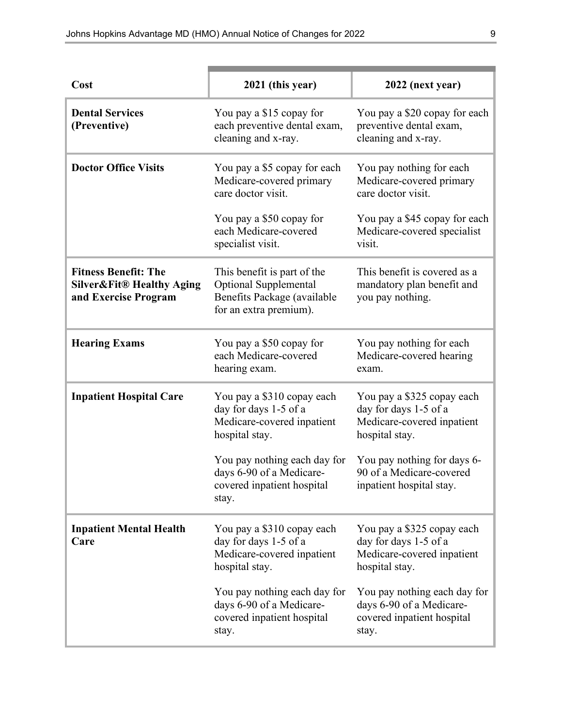| Cost                                                                                        | 2021 (this year)                                                                                              | 2022 (next year)                                                                                    |
|---------------------------------------------------------------------------------------------|---------------------------------------------------------------------------------------------------------------|-----------------------------------------------------------------------------------------------------|
| <b>Dental Services</b><br>(Preventive)                                                      | You pay a \$15 copay for<br>each preventive dental exam,<br>cleaning and x-ray.                               | You pay a \$20 copay for each<br>preventive dental exam,<br>cleaning and x-ray.                     |
| <b>Doctor Office Visits</b>                                                                 | You pay a \$5 copay for each<br>Medicare-covered primary<br>care doctor visit.                                | You pay nothing for each<br>Medicare-covered primary<br>care doctor visit.                          |
|                                                                                             | You pay a \$50 copay for<br>each Medicare-covered<br>specialist visit.                                        | You pay a \$45 copay for each<br>Medicare-covered specialist<br>visit.                              |
| <b>Fitness Benefit: The</b><br><b>Silver&amp;Fit® Healthy Aging</b><br>and Exercise Program | This benefit is part of the<br>Optional Supplemental<br>Benefits Package (available<br>for an extra premium). | This benefit is covered as a<br>mandatory plan benefit and<br>you pay nothing.                      |
| <b>Hearing Exams</b>                                                                        | You pay a \$50 copay for<br>each Medicare-covered<br>hearing exam.                                            | You pay nothing for each<br>Medicare-covered hearing<br>exam.                                       |
| <b>Inpatient Hospital Care</b>                                                              | You pay a \$310 copay each<br>day for days 1-5 of a<br>Medicare-covered inpatient<br>hospital stay.           | You pay a \$325 copay each<br>day for days 1-5 of a<br>Medicare-covered inpatient<br>hospital stay. |
|                                                                                             | You pay nothing each day for<br>days 6-90 of a Medicare-<br>covered inpatient hospital<br>stay.               | You pay nothing for days 6-<br>90 of a Medicare-covered<br>inpatient hospital stay.                 |
| <b>Inpatient Mental Health</b><br>Care                                                      | You pay a \$310 copay each<br>day for days 1-5 of a<br>Medicare-covered inpatient<br>hospital stay.           | You pay a \$325 copay each<br>day for days 1-5 of a<br>Medicare-covered inpatient<br>hospital stay. |
|                                                                                             | You pay nothing each day for<br>days 6-90 of a Medicare-<br>covered inpatient hospital<br>stay.               | You pay nothing each day for<br>days 6-90 of a Medicare-<br>covered inpatient hospital<br>stay.     |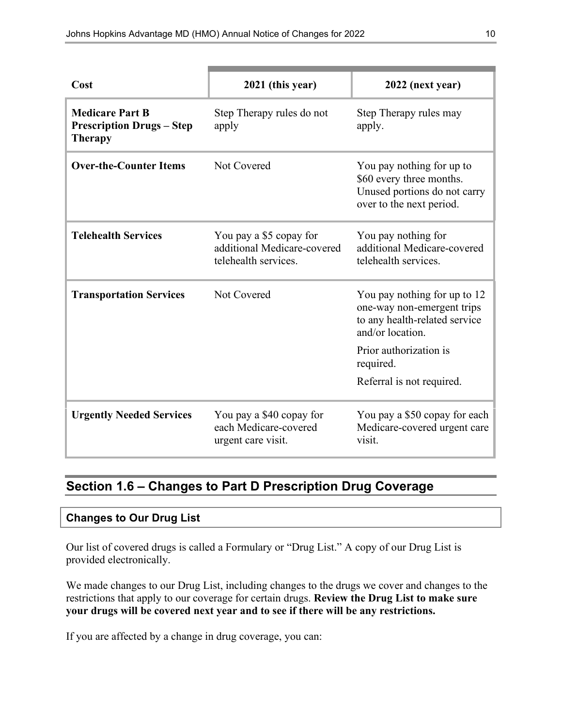| Cost                                                                         | 2021 (this year)                                                               | 2022 (next year)                                                                                                  |
|------------------------------------------------------------------------------|--------------------------------------------------------------------------------|-------------------------------------------------------------------------------------------------------------------|
| <b>Medicare Part B</b><br><b>Prescription Drugs - Step</b><br><b>Therapy</b> | Step Therapy rules do not<br>apply                                             | Step Therapy rules may<br>apply.                                                                                  |
| <b>Over-the-Counter Items</b>                                                | Not Covered                                                                    | You pay nothing for up to<br>\$60 every three months.<br>Unused portions do not carry<br>over to the next period. |
| <b>Telehealth Services</b>                                                   | You pay a \$5 copay for<br>additional Medicare-covered<br>telehealth services. | You pay nothing for<br>additional Medicare-covered<br>telehealth services.                                        |
| <b>Transportation Services</b>                                               | Not Covered                                                                    | You pay nothing for up to 12<br>one-way non-emergent trips<br>to any health-related service<br>and/or location.   |
|                                                                              |                                                                                | Prior authorization is<br>required.                                                                               |
|                                                                              |                                                                                | Referral is not required.                                                                                         |
| <b>Urgently Needed Services</b>                                              | You pay a \$40 copay for<br>each Medicare-covered<br>urgent care visit.        | You pay a \$50 copay for each<br>Medicare-covered urgent care<br>visit.                                           |

### **Section 1.6 – Changes to Part D Prescription Drug Coverage**

#### **Changes to Our Drug List**

Our list of covered drugs is called a Formulary or "Drug List." A copy of our Drug List is provided electronically.

We made changes to our Drug List, including changes to the drugs we cover and changes to the restrictions that apply to our coverage for certain drugs. **Review the Drug List to make sure your drugs will be covered next year and to see if there will be any restrictions.**

If you are affected by a change in drug coverage, you can: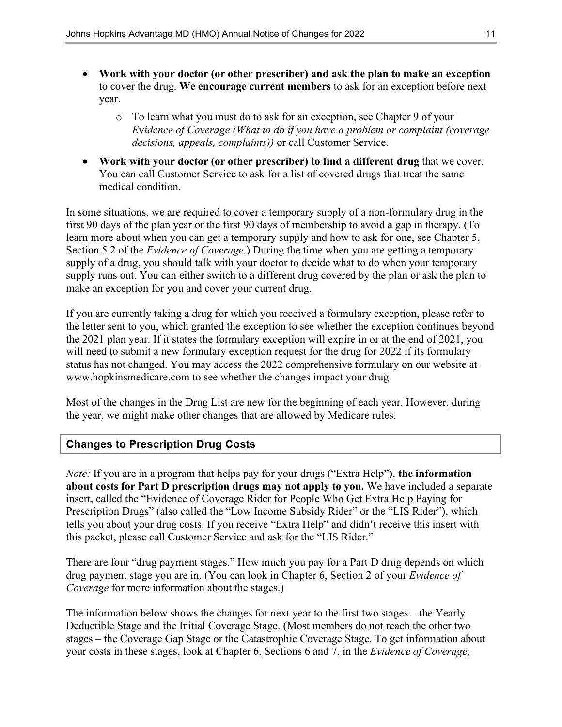- **Work with your doctor (or other prescriber) and ask the plan to make an exception** to cover the drug. **We encourage current members** to ask for an exception before next year.
	- o To learn what you must do to ask for an exception, see Chapter 9 of your *E*v*idence of Coverage (What to do if you have a problem or complaint (coverage decisions, appeals, complaints))* or call Customer Service.
- **Work with your doctor (or other prescriber) to find a different drug** that we cover. You can call Customer Service to ask for a list of covered drugs that treat the same medical condition.

In some situations, we are required to cover a temporary supply of a non-formulary drug in the first 90 days of the plan year or the first 90 days of membership to avoid a gap in therapy. (To learn more about when you can get a temporary supply and how to ask for one, see Chapter 5, Section 5.2 of the *Evidence of Coverage.*) During the time when you are getting a temporary supply of a drug, you should talk with your doctor to decide what to do when your temporary supply runs out. You can either switch to a different drug covered by the plan or ask the plan to make an exception for you and cover your current drug.

If you are currently taking a drug for which you received a formulary exception, please refer to the letter sent to you, which granted the exception to see whether the exception continues beyond the 2021 plan year. If it states the formulary exception will expire in or at the end of 2021, you will need to submit a new formulary exception request for the drug for 2022 if its formulary status has not changed. You may access the 2022 comprehensive formulary on our website at [www.hopkinsmedicare.com](http://www.hopkinsmedicare.com) to see whether the changes impact your drug.

Most of the changes in the Drug List are new for the beginning of each year. However, during the year, we might make other changes that are allowed by Medicare rules.

#### **Changes to Prescription Drug Costs**

*Note:* If you are in a program that helps pay for your drugs ("Extra Help"), **the information about costs for Part D prescription drugs may not apply to you.** We have included a separate insert, called the "Evidence of Coverage Rider for People Who Get Extra Help Paying for Prescription Drugs" (also called the "Low Income Subsidy Rider" or the "LIS Rider"), which tells you about your drug costs. If you receive "Extra Help" and didn't receive this insert with this packet, please call Customer Service and ask for the "LIS Rider."

There are four "drug payment stages." How much you pay for a Part D drug depends on which drug payment stage you are in. (You can look in Chapter 6, Section 2 of your *Evidence of Coverage* for more information about the stages.)

The information below shows the changes for next year to the first two stages – the Yearly Deductible Stage and the Initial Coverage Stage. (Most members do not reach the other two stages – the Coverage Gap Stage or the Catastrophic Coverage Stage. To get information about your costs in these stages, look at Chapter 6, Sections 6 and 7, in the *Evidence of Coverage*,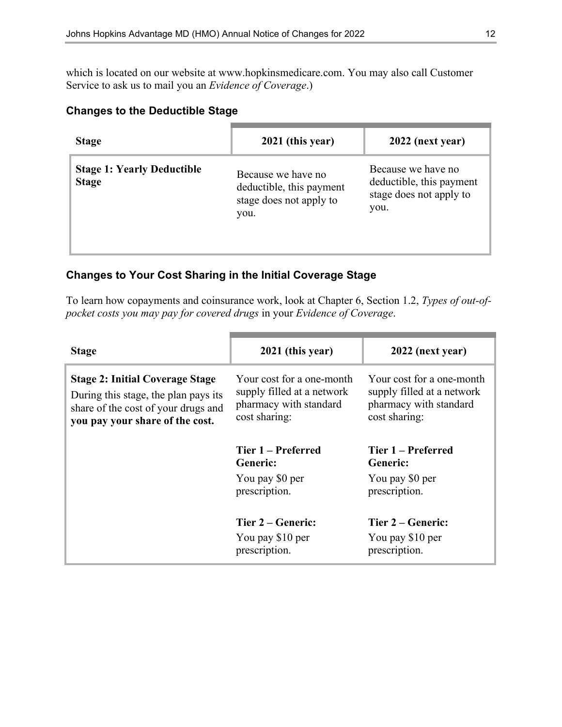which is located on our website at [www.hopkinsmedicare.com.](http://www.hopkinsmedicare.com) You may also call Customer Service to ask us to mail you an *Evidence of Coverage*.)

#### **Changes to the Deductible Stage**

| <b>Stage</b>                                      | 2021 (this year)                                                                  | 2022 (next year)                                                                  |
|---------------------------------------------------|-----------------------------------------------------------------------------------|-----------------------------------------------------------------------------------|
| <b>Stage 1: Yearly Deductible</b><br><b>Stage</b> | Because we have no<br>deductible, this payment<br>stage does not apply to<br>you. | Because we have no<br>deductible, this payment<br>stage does not apply to<br>you. |

#### **Changes to Your Cost Sharing in the Initial Coverage Stage**

To learn how copayments and coinsurance work, look at Chapter 6, Section 1.2, *Types of out-ofpocket costs you may pay for covered drugs* in your *Evidence of Coverage*.

| <b>Stage</b>                                                                                                                                             | 2021 (this year)                                                                                   | 2022 (next year)                                                                                   |
|----------------------------------------------------------------------------------------------------------------------------------------------------------|----------------------------------------------------------------------------------------------------|----------------------------------------------------------------------------------------------------|
| <b>Stage 2: Initial Coverage Stage</b><br>During this stage, the plan pays its<br>share of the cost of your drugs and<br>you pay your share of the cost. | Your cost for a one-month<br>supply filled at a network<br>pharmacy with standard<br>cost sharing: | Your cost for a one-month<br>supply filled at a network<br>pharmacy with standard<br>cost sharing: |
|                                                                                                                                                          | Tier 1 – Preferred<br><b>Generic:</b>                                                              | Tier 1 – Preferred<br><b>Generic:</b>                                                              |
|                                                                                                                                                          | You pay \$0 per<br>prescription.                                                                   | You pay \$0 per<br>prescription.                                                                   |
|                                                                                                                                                          | Tier 2 – Generic:                                                                                  | Tier 2 – Generic:                                                                                  |
|                                                                                                                                                          | You pay \$10 per<br>prescription.                                                                  | You pay \$10 per<br>prescription.                                                                  |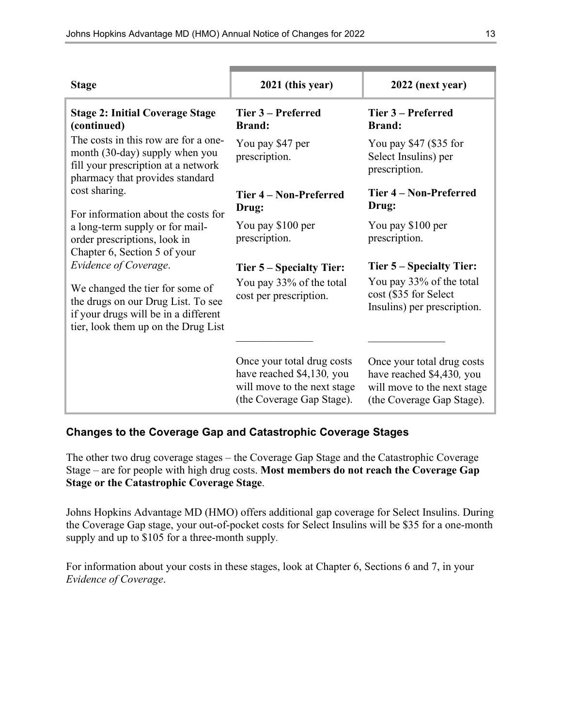| <b>Stage</b>                                                                                                                                         | 2021 (this year)                                                                                                    | 2022 (next year)                                                                                                    |
|------------------------------------------------------------------------------------------------------------------------------------------------------|---------------------------------------------------------------------------------------------------------------------|---------------------------------------------------------------------------------------------------------------------|
| <b>Stage 2: Initial Coverage Stage</b><br>(continued)                                                                                                | Tier 3 – Preferred<br><b>Brand:</b>                                                                                 | Tier 3 – Preferred<br><b>Brand:</b>                                                                                 |
| The costs in this row are for a one-<br>month (30-day) supply when you<br>fill your prescription at a network<br>pharmacy that provides standard     | You pay \$47 per<br>prescription.                                                                                   | You pay \$47 (\$35 for<br>Select Insulins) per<br>prescription.                                                     |
| cost sharing.<br>For information about the costs for                                                                                                 | Tier 4 – Non-Preferred<br>Drug:                                                                                     | Tier 4 – Non-Preferred<br>Drug:                                                                                     |
| a long-term supply or for mail-<br>order prescriptions, look in<br>Chapter 6, Section 5 of your                                                      | You pay \$100 per<br>prescription.                                                                                  | You pay \$100 per<br>prescription.                                                                                  |
| Evidence of Coverage.                                                                                                                                | Tier 5 – Specialty Tier:                                                                                            | Tier 5 – Specialty Tier:                                                                                            |
| We changed the tier for some of<br>the drugs on our Drug List. To see<br>if your drugs will be in a different<br>tier, look them up on the Drug List | You pay 33% of the total<br>cost per prescription.                                                                  | You pay 33% of the total<br>cost (\$35 for Select<br>Insulins) per prescription.                                    |
|                                                                                                                                                      | Once your total drug costs<br>have reached \$4,130, you<br>will move to the next stage<br>(the Coverage Gap Stage). | Once your total drug costs<br>have reached \$4,430, you<br>will move to the next stage<br>(the Coverage Gap Stage). |

#### **Changes to the Coverage Gap and Catastrophic Coverage Stages**

The other two drug coverage stages – the Coverage Gap Stage and the Catastrophic Coverage Stage – are for people with high drug costs. **Most members do not reach the Coverage Gap Stage or the Catastrophic Coverage Stage**.

Johns Hopkins Advantage MD (HMO) offers additional gap coverage for Select Insulins. During the Coverage Gap stage, your out-of-pocket costs for Select Insulins will be \$35 for a one-month supply and up to \$105 for a three-month supply.

For information about your costs in these stages, look at Chapter 6, Sections 6 and 7, in your *Evidence of Coverage*.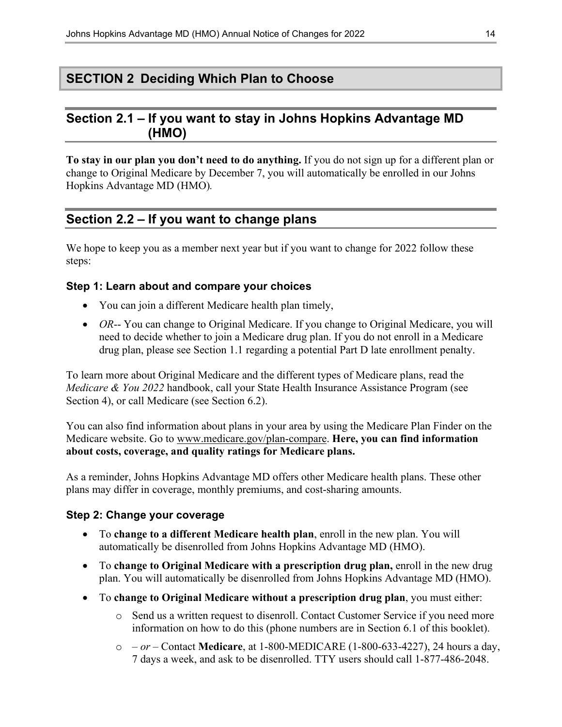### **SECTION 2 Deciding Which Plan to Choose**

### **Section 2.1 – If you want to stay in Johns Hopkins Advantage MD (HMO)**

**To stay in our plan you don't need to do anything.** If you do not sign up for a different plan or change to Original Medicare by December 7, you will automatically be enrolled in our Johns Hopkins Advantage MD (HMO)*.*

### **Section 2.2 – If you want to change plans**

We hope to keep you as a member next year but if you want to change for 2022 follow these steps:

#### **Step 1: Learn about and compare your choices**

- You can join a different Medicare health plan timely,
- *OR*-- You can change to Original Medicare. If you change to Original Medicare, you will need to decide whether to join a Medicare drug plan. If you do not enroll in a Medicare drug plan, please see Section 1.1 regarding a potential Part D late enrollment penalty.

To learn more about Original Medicare and the different types of Medicare plans, read the *Medicare & You 2022* handbook, call your State Health Insurance Assistance Program (see Section 4), or call Medicare (see Section 6.2).

You can also find information about plans in your area by using the Medicare Plan Finder on the Medicare website. Go to [www.medicare.gov/plan-compare.](http://www.medicare.gov/plan-compare) **Here, you can find information about costs, coverage, and quality ratings for Medicare plans.**

As a reminder, Johns Hopkins Advantage MD offers other Medicare health plans. These other plans may differ in coverage, monthly premiums, and cost-sharing amounts.

#### **Step 2: Change your coverage**

- To **change to a different Medicare health plan**, enroll in the new plan. You will automatically be disenrolled from Johns Hopkins Advantage MD (HMO).
- To **change to Original Medicare with a prescription drug plan,** enroll in the new drug plan. You will automatically be disenrolled from Johns Hopkins Advantage MD (HMO).
- To **change to Original Medicare without a prescription drug plan**, you must either:
	- o Send us a written request to disenroll. Contact Customer Service if you need more information on how to do this (phone numbers are in Section 6.1 of this booklet).
	- o  *or –* Contact **Medicare**, at 1-800-MEDICARE (1-800-633-4227), 24 hours a day, 7 days a week, and ask to be disenrolled. TTY users should call 1-877-486-2048.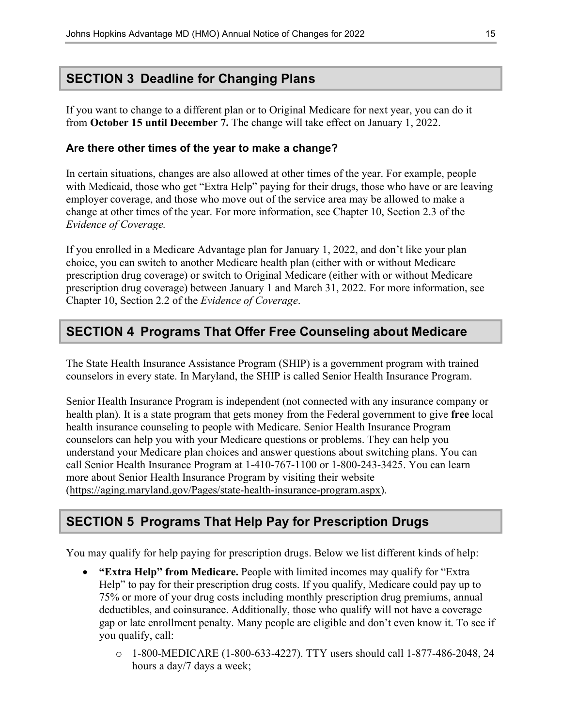### **SECTION 3 Deadline for Changing Plans**

If you want to change to a different plan or to Original Medicare for next year, you can do it from **October 15 until December 7.** The change will take effect on January 1, 2022.

#### **Are there other times of the year to make a change?**

In certain situations, changes are also allowed at other times of the year. For example, people with Medicaid, those who get "Extra Help" paying for their drugs, those who have or are leaving employer coverage, and those who move out of the service area may be allowed to make a change at other times of the year. For more information, see Chapter 10, Section 2.3 of the *Evidence of Coverage.*

If you enrolled in a Medicare Advantage plan for January 1, 2022, and don't like your plan choice, you can switch to another Medicare health plan (either with or without Medicare prescription drug coverage) or switch to Original Medicare (either with or without Medicare prescription drug coverage) between January 1 and March 31, 2022. For more information, see Chapter 10, Section 2.2 of the *Evidence of Coverage*.

### **SECTION 4 Programs That Offer Free Counseling about Medicare**

The State Health Insurance Assistance Program (SHIP) is a government program with trained counselors in every state. In Maryland, the SHIP is called Senior Health Insurance Program.

Senior Health Insurance Program is independent (not connected with any insurance company or health plan). It is a state program that gets money from the Federal government to give **free** local health insurance counseling to people with Medicare. Senior Health Insurance Program counselors can help you with your Medicare questions or problems. They can help you understand your Medicare plan choices and answer questions about switching plans. You can call Senior Health Insurance Program at 1-410-767-1100 or 1-800-243-3425. You can learn more about Senior Health Insurance Program by visiting their website [\(https://aging.maryland.gov/Pages/state-health-insurance-program.aspx\)](https://aging.maryland.gov/Pages/state-health-insurance-program.aspx).

### **SECTION 5 Programs That Help Pay for Prescription Drugs**

You may qualify for help paying for prescription drugs. Below we list different kinds of help:

- **"Extra Help" from Medicare.** People with limited incomes may qualify for "Extra Help" to pay for their prescription drug costs. If you qualify, Medicare could pay up to 75% or more of your drug costs including monthly prescription drug premiums, annual deductibles, and coinsurance. Additionally, those who qualify will not have a coverage gap or late enrollment penalty. Many people are eligible and don't even know it. To see if you qualify, call:
	- o 1-800-MEDICARE (1-800-633-4227). TTY users should call 1-877-486-2048, 24 hours a day/7 days a week;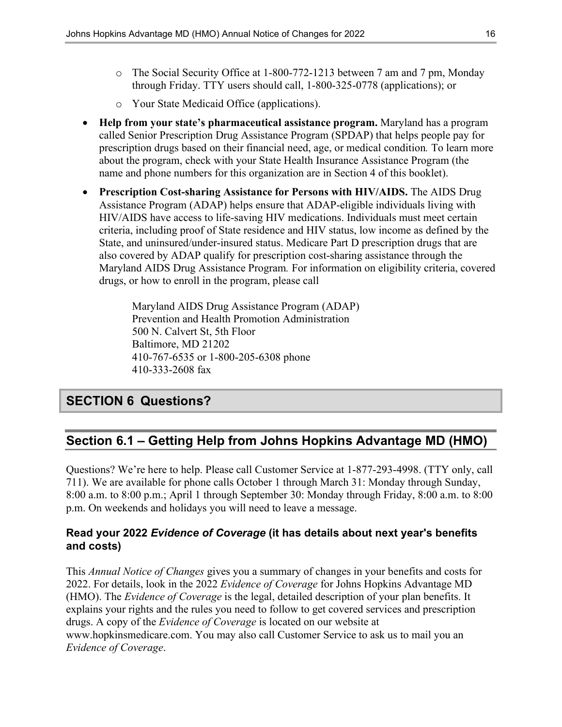- o The Social Security Office at 1-800-772-1213 between 7 am and 7 pm, Monday through Friday. TTY users should call, 1-800-325-0778 (applications); or
- o Your State Medicaid Office (applications).
- **Help from your state's pharmaceutical assistance program.** Maryland has a program called Senior Prescription Drug Assistance Program (SPDAP) that helps people pay for prescription drugs based on their financial need, age, or medical condition*.* To learn more about the program, check with your State Health Insurance Assistance Program (the name and phone numbers for this organization are in Section 4 of this booklet).
- **Prescription Cost-sharing Assistance for Persons with HIV/AIDS.** The AIDS Drug Assistance Program (ADAP) helps ensure that ADAP-eligible individuals living with HIV/AIDS have access to life-saving HIV medications. Individuals must meet certain criteria, including proof of State residence and HIV status, low income as defined by the State, and uninsured/under-insured status. Medicare Part D prescription drugs that are also covered by ADAP qualify for prescription cost-sharing assistance through the Maryland AIDS Drug Assistance Program*.* For information on eligibility criteria, covered drugs, or how to enroll in the program, please call

Maryland AIDS Drug Assistance Program (ADAP) Prevention and Health Promotion Administration 500 N. Calvert St, 5th Floor Baltimore, MD 21202 410-767-6535 or 1-800-205-6308 phone 410-333-2608 fax

### **SECTION 6 Questions?**

### **Section 6.1 – Getting Help from Johns Hopkins Advantage MD (HMO)**

Questions? We're here to help. Please call Customer Service at 1-877-293-4998. (TTY only, call 711). We are available for phone calls October 1 through March 31: Monday through Sunday, 8:00 a.m. to 8:00 p.m.; April 1 through September 30: Monday through Friday, 8:00 a.m. to 8:00 p.m. On weekends and holidays you will need to leave a message.

#### **Read your 2022** *Evidence of Coverage* **(it has details about next year's benefits and costs)**

This *Annual Notice of Changes* gives you a summary of changes in your benefits and costs for 2022. For details, look in the 2022 *Evidence of Coverage* for Johns Hopkins Advantage MD (HMO). The *Evidence of Coverage* is the legal, detailed description of your plan benefits. It explains your rights and the rules you need to follow to get covered services and prescription drugs. A copy of the *Evidence of Coverage* is located on our website at [www.hopkinsmedicare.com.](http://www.hopkinsmedicare.com) You may also call Customer Service to ask us to mail you an *Evidence of Coverage*.